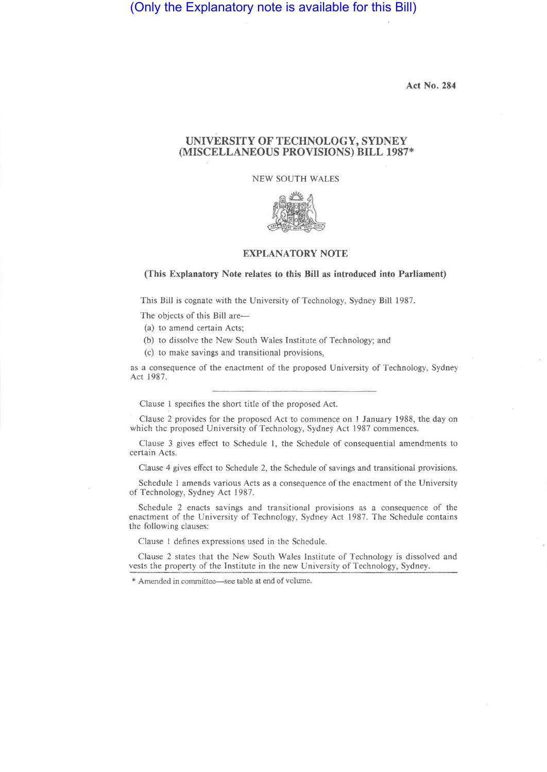# (Only the Explanatory note is available for this Bill)

**Act No. 284** 

## **UNIVERSITY OF TECHNOLOGY, SYDNEY (MISCELLANEOUS PROVISIONS) BILL 1987\***

NEW SOUTH WALES



### **EXPLANATORY NOTE**

#### **(This Explanatory Note relates to this Bill as introduced into Parliament)**

This Bill is cognate with the University of Technology, Sydney Bill 1987.

The objects of this Bill are-

(a) to amend certain Acts;

(b) to dissolve the New South Wales Institute of Technology; and

(c) to make savings and transitional provisions,

as a consequence of the enactment of the proposed University of Technology, Sydney Act 1987.

Clause 1 specifies the short title of the proposed Act.

Clause 2 provides for the proposed Act to commence on 1 January 1988, the day on which the proposed University of Technology, Sydney Act 1987 commences.

Clause 3 gives effect to Schedule 1, the Schedule of consequential amendments to certain Acts.

Clause 4 gives effect to Schedule 2, the Schedule of savings and transitional provisions.

Schedule 1 amends various Acts as a consequence of the enactment of the University of Technology, Sydney Act 1987.

Schedule 2 enacts savings and transitional provisions as a consequence of the enactment of the University of Technology, Sydney Act 1987. The Schedule contains the following clauses:

Clause 1 defines expressions used in the Schedule.

Clause 2 states that the New South Wales Institute of Technology is dissolved and vests the property of the Institute in the new University of Technology, Sydney.

<sup>\*</sup> Amended in committee—see table at end of volume.